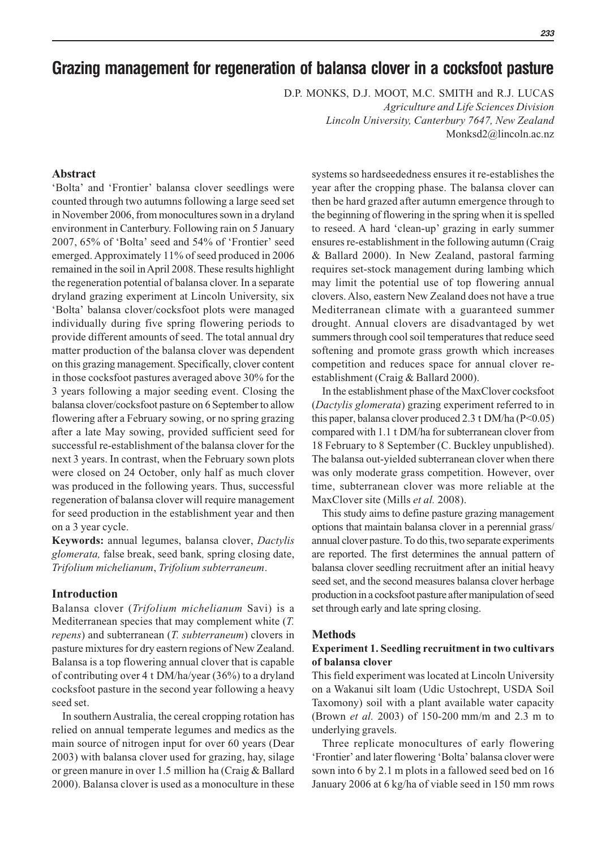# **Grazing management for regeneration of balansa clover in a cocksfoot pasture**

D.P. MONKS, D.J. MOOT, M.C. SMITH and R.J. LUCAS

*Agriculture and Life Sciences Division Lincoln University, Canterbury 7647, New Zealand* Monksd2@lincoln.ac.nz

# **Abstract**

'Bolta' and 'Frontier' balansa clover seedlings were counted through two autumns following a large seed set in November 2006, from monocultures sown in a dryland environment in Canterbury. Following rain on 5 January 2007, 65% of 'Bolta' seed and 54% of 'Frontier' seed emerged. Approximately 11% of seed produced in 2006 remained in the soil in April 2008. These results highlight the regeneration potential of balansa clover. In a separate dryland grazing experiment at Lincoln University, six 'Bolta' balansa clover/cocksfoot plots were managed individually during five spring flowering periods to provide different amounts of seed. The total annual dry matter production of the balansa clover was dependent on this grazing management. Specifically, clover content in those cocksfoot pastures averaged above 30% for the 3 years following a major seeding event. Closing the balansa clover/cocksfoot pasture on 6 September to allow flowering after a February sowing, or no spring grazing after a late May sowing, provided sufficient seed for successful re-establishment of the balansa clover for the next 3 years. In contrast, when the February sown plots were closed on 24 October, only half as much clover was produced in the following years. Thus, successful regeneration of balansa clover will require management for seed production in the establishment year and then on a 3 year cycle.

**Keywords:** annual legumes, balansa clover, *Dactylis glomerata,* false break, seed bank*,* spring closing date, *Trifolium michelianum*, *Trifolium subterraneum*.

## **Introduction**

Balansa clover (*Trifolium michelianum* Savi) is a Mediterranean species that may complement white (*T. repens*) and subterranean (*T. subterraneum*) clovers in pasture mixtures for dry eastern regions of New Zealand. Balansa is a top flowering annual clover that is capable of contributing over 4 t DM/ha/year (36%) to a dryland cocksfoot pasture in the second year following a heavy seed set.

In southern Australia, the cereal cropping rotation has relied on annual temperate legumes and medics as the main source of nitrogen input for over 60 years (Dear 2003) with balansa clover used for grazing, hay, silage or green manure in over 1.5 million ha (Craig & Ballard 2000). Balansa clover is used as a monoculture in these

systems so hardseededness ensures it re-establishes the year after the cropping phase. The balansa clover can then be hard grazed after autumn emergence through to the beginning of flowering in the spring when it is spelled to reseed. A hard 'clean-up' grazing in early summer ensures re-establishment in the following autumn (Craig & Ballard 2000). In New Zealand, pastoral farming requires set-stock management during lambing which may limit the potential use of top flowering annual clovers. Also, eastern New Zealand does not have a true Mediterranean climate with a guaranteed summer drought. Annual clovers are disadvantaged by wet summers through cool soil temperatures that reduce seed softening and promote grass growth which increases competition and reduces space for annual clover reestablishment (Craig & Ballard 2000).

In the establishment phase of the MaxClover cocksfoot (*Dactylis glomerata*) grazing experiment referred to in this paper, balansa clover produced 2.3 t DM/ha  $(P<0.05)$ compared with 1.1 t DM/ha for subterranean clover from 18 February to 8 September (C. Buckley unpublished). The balansa out-yielded subterranean clover when there was only moderate grass competition. However, over time, subterranean clover was more reliable at the MaxClover site (Mills *et al.* 2008).

This study aims to define pasture grazing management options that maintain balansa clover in a perennial grass/ annual clover pasture. To do this, two separate experiments are reported. The first determines the annual pattern of balansa clover seedling recruitment after an initial heavy seed set, and the second measures balansa clover herbage production in a cocksfoot pasture after manipulation of seed set through early and late spring closing.

#### **Methods**

## **Experiment 1. Seedling recruitment in two cultivars of balansa clover**

This field experiment was located at Lincoln University on a Wakanui silt loam (Udic Ustochrept, USDA Soil Taxomony) soil with a plant available water capacity (Brown *et al.* 2003) of 150-200 mm/m and 2.3 m to underlying gravels.

Three replicate monocultures of early flowering 'Frontier' and later flowering 'Bolta' balansa clover were sown into 6 by 2.1 m plots in a fallowed seed bed on 16 January 2006 at 6 kg/ha of viable seed in 150 mm rows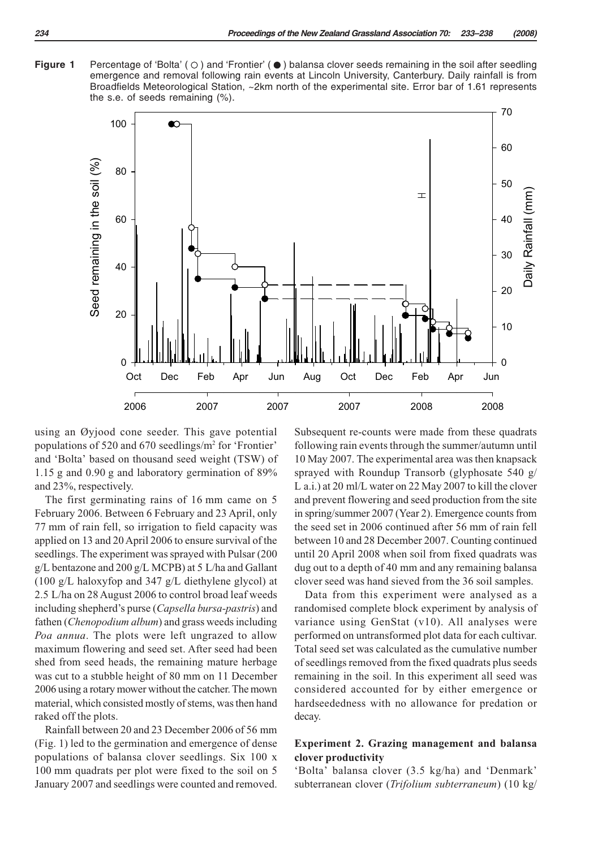**Figure 1** Percentage of 'Bolta' ( $\bigcirc$ ) and 'Frontier' ( $\bullet$ ) balansa clover seeds remaining in the soil after seedling emergence and removal following rain events at Lincoln University, Canterbury. Daily rainfall is from Broadfields Meteorological Station, ~2km north of the experimental site. Error bar of 1.61 represents the s.e. of seeds remaining (%).



using an Øyjood cone seeder. This gave potential populations of 520 and 670 seedlings/m2 for 'Frontier' and 'Bolta' based on thousand seed weight (TSW) of 1.15 g and 0.90 g and laboratory germination of 89% and 23%, respectively.

The first germinating rains of 16 mm came on 5 February 2006. Between 6 February and 23 April, only 77 mm of rain fell, so irrigation to field capacity was applied on 13 and 20 April 2006 to ensure survival of the seedlings. The experiment was sprayed with Pulsar (200 g/L bentazone and 200 g/L MCPB) at 5 L/ha and Gallant (100 g/L haloxyfop and 347 g/L diethylene glycol) at 2.5 L/ha on 28 August 2006 to control broad leaf weeds including shepherd's purse (*Capsella bursa-pastris*) and fathen (*Chenopodium album*) and grass weeds including *Poa annua*. The plots were left ungrazed to allow maximum flowering and seed set. After seed had been shed from seed heads, the remaining mature herbage was cut to a stubble height of 80 mm on 11 December 2006 using a rotary mower without the catcher. The mown material, which consisted mostly of stems, was then hand raked off the plots.

Rainfall between 20 and 23 December 2006 of 56 mm (Fig. 1) led to the germination and emergence of dense populations of balansa clover seedlings. Six 100 x 100 mm quadrats per plot were fixed to the soil on 5 January 2007 and seedlings were counted and removed. Subsequent re-counts were made from these quadrats following rain events through the summer/autumn until 10 May 2007. The experimental area was then knapsack sprayed with Roundup Transorb (glyphosate 540 g/ L a.i.) at 20 ml/L water on 22 May 2007 to kill the clover and prevent flowering and seed production from the site in spring/summer 2007 (Year 2). Emergence counts from the seed set in 2006 continued after 56 mm of rain fell between 10 and 28 December 2007. Counting continued until 20 April 2008 when soil from fixed quadrats was dug out to a depth of 40 mm and any remaining balansa clover seed was hand sieved from the 36 soil samples.

Data from this experiment were analysed as a randomised complete block experiment by analysis of variance using GenStat (v10). All analyses were performed on untransformed plot data for each cultivar. Total seed set was calculated as the cumulative number of seedlings removed from the fixed quadrats plus seeds remaining in the soil. In this experiment all seed was considered accounted for by either emergence or hardseededness with no allowance for predation or decay.

# **Experiment 2. Grazing management and balansa clover productivity**

'Bolta' balansa clover (3.5 kg/ha) and 'Denmark' subterranean clover (*Trifolium subterraneum*) (10 kg/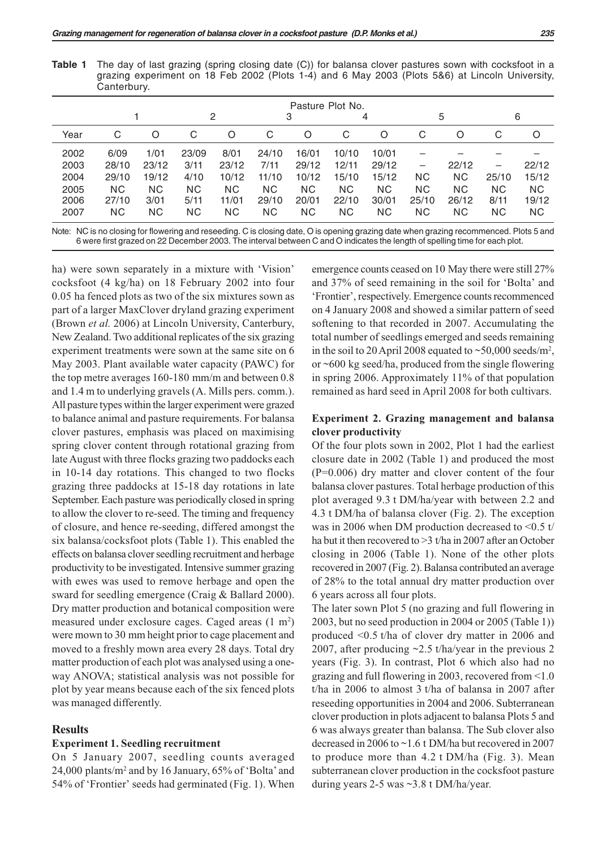**Table 1** The day of last grazing (spring closing date (C)) for balansa clover pastures sown with cocksfoot in a grazing experiment on 18 Feb 2002 (Plots 1-4) and 6 May 2003 (Plots 5&6) at Lincoln University, Canterbury.

| Pasture Plot No. |           |           |           |           |           |           |           |           |           |           |           |
|------------------|-----------|-----------|-----------|-----------|-----------|-----------|-----------|-----------|-----------|-----------|-----------|
|                  |           | 2         |           | 3         |           | 4         |           | 5         |           | 6         |           |
| C                | O         | С         | O         | C         | O         | C         | O         | С         | O         | C         | O         |
| 6/09             | 1/01      | 23/09     | 8/01      | 24/10     | 16/01     | 10/10     | 10/01     |           |           |           |           |
| 28/10            | 23/12     | 3/11      | 23/12     | 7/11      | 29/12     | 12/11     | 29/12     | -         | 22/12     | -         | 22/12     |
| 29/10            | 19/12     | 4/10      | 10/12     | 11/10     | 10/12     | 15/10     | 15/12     | NC.       | <b>NC</b> | 25/10     | 15/12     |
| <b>NC</b>        | <b>NC</b> | <b>NC</b> | <b>NC</b> | <b>NC</b> | <b>NC</b> | <b>NC</b> | ΝC        | <b>NC</b> | <b>NC</b> | <b>NC</b> | <b>NC</b> |
| 27/10            | 3/01      | 5/11      | 11/01     | 29/10     | 20/01     | 22/10     | 30/01     | 25/10     | 26/12     | 8/11      | 19/12     |
| <b>NC</b>        | NC.       | ΝC        | <b>NC</b> | ΝC        | NC.       | <b>NC</b> | <b>NC</b> | ΝC        | ΝC        | NC.       | <b>NC</b> |
|                  |           |           |           |           |           |           |           |           |           |           |           |

Note: NC is no closing for flowering and reseeding. C is closing date, O is opening grazing date when grazing recommenced. Plots 5 and 6 were first grazed on 22 December 2003. The interval between C and O indicates the length of spelling time for each plot.

ha) were sown separately in a mixture with 'Vision' cocksfoot (4 kg/ha) on 18 February 2002 into four 0.05 ha fenced plots as two of the six mixtures sown as part of a larger MaxClover dryland grazing experiment (Brown *et al.* 2006) at Lincoln University, Canterbury, New Zealand. Two additional replicates of the six grazing experiment treatments were sown at the same site on 6 May 2003. Plant available water capacity (PAWC) for the top metre averages 160-180 mm/m and between 0.8 and 1.4 m to underlying gravels (A. Mills pers. comm.). All pasture types within the larger experiment were grazed to balance animal and pasture requirements. For balansa clover pastures, emphasis was placed on maximising spring clover content through rotational grazing from late August with three flocks grazing two paddocks each in 10-14 day rotations. This changed to two flocks grazing three paddocks at 15-18 day rotations in late September. Each pasture was periodically closed in spring to allow the clover to re-seed. The timing and frequency of closure, and hence re-seeding, differed amongst the six balansa/cocksfoot plots (Table 1). This enabled the effects on balansa clover seedling recruitment and herbage productivity to be investigated. Intensive summer grazing with ewes was used to remove herbage and open the sward for seedling emergence (Craig & Ballard 2000). Dry matter production and botanical composition were measured under exclosure cages. Caged areas (1 m<sup>2</sup>) were mown to 30 mm height prior to cage placement and moved to a freshly mown area every 28 days. Total dry matter production of each plot was analysed using a oneway ANOVA; statistical analysis was not possible for plot by year means because each of the six fenced plots was managed differently.

#### **Results**

#### **Experiment 1. Seedling recruitment**

On 5 January 2007, seedling counts averaged 24,000 plants/m2 and by 16 January, 65% of 'Bolta' and 54% of 'Frontier' seeds had germinated (Fig. 1). When

emergence counts ceased on 10 May there were still 27% and 37% of seed remaining in the soil for 'Bolta' and 'Frontier', respectively. Emergence counts recommenced on 4 January 2008 and showed a similar pattern of seed softening to that recorded in 2007. Accumulating the total number of seedlings emerged and seeds remaining in the soil to 20 April 2008 equated to  $\sim$  50,000 seeds/m<sup>2</sup>, or ~600 kg seed/ha, produced from the single flowering in spring 2006. Approximately 11% of that population remained as hard seed in April 2008 for both cultivars.

## **Experiment 2. Grazing management and balansa clover productivity**

Of the four plots sown in 2002, Plot 1 had the earliest closure date in 2002 (Table 1) and produced the most (P=0.006) dry matter and clover content of the four balansa clover pastures. Total herbage production of this plot averaged 9.3 t DM/ha/year with between 2.2 and 4.3 t DM/ha of balansa clover (Fig. 2). The exception was in 2006 when DM production decreased to <0.5 t/ ha but it then recovered to > 3 t/ha in 2007 after an October closing in 2006 (Table 1). None of the other plots recovered in 2007 (Fig. 2). Balansa contributed an average of 28% to the total annual dry matter production over 6 years across all four plots.

The later sown Plot 5 (no grazing and full flowering in 2003, but no seed production in 2004 or 2005 (Table 1)) produced <0.5 t/ha of clover dry matter in 2006 and 2007, after producing ~2.5 t/ha/year in the previous 2 years (Fig. 3). In contrast, Plot 6 which also had no grazing and full flowering in 2003, recovered from <1.0 t/ha in 2006 to almost 3 t/ha of balansa in 2007 after reseeding opportunities in 2004 and 2006. Subterranean clover production in plots adjacent to balansa Plots 5 and 6 was always greater than balansa. The Sub clover also decreased in 2006 to ~1.6 t DM/ha but recovered in 2007 to produce more than 4.2 t DM/ha (Fig. 3). Mean subterranean clover production in the cocksfoot pasture during years 2-5 was ~3.8 t DM/ha/year.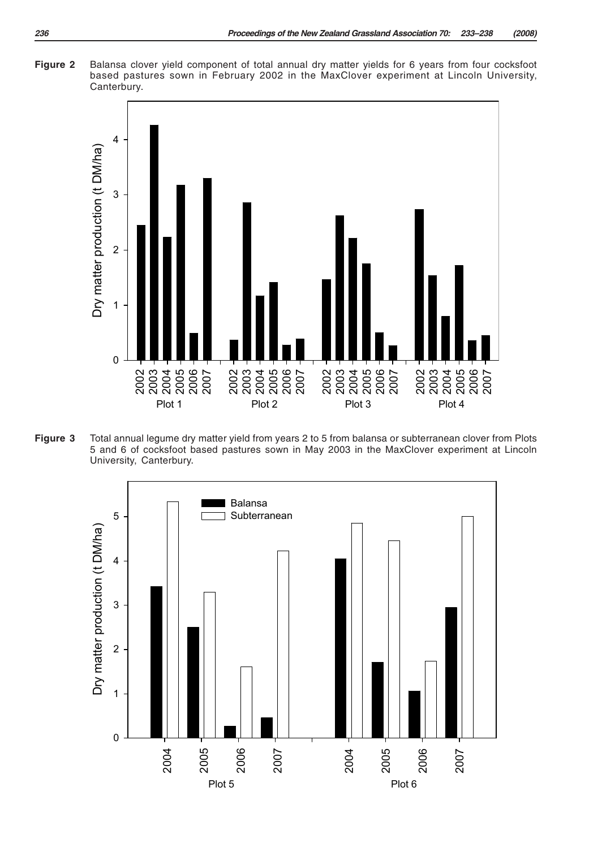



**Figure 3** Total annual legume dry matter yield from years 2 to 5 from balansa or subterranean clover from Plots 5 and 6 of cocksfoot based pastures sown in May 2003 in the MaxClover experiment at Lincoln University, Canterbury.

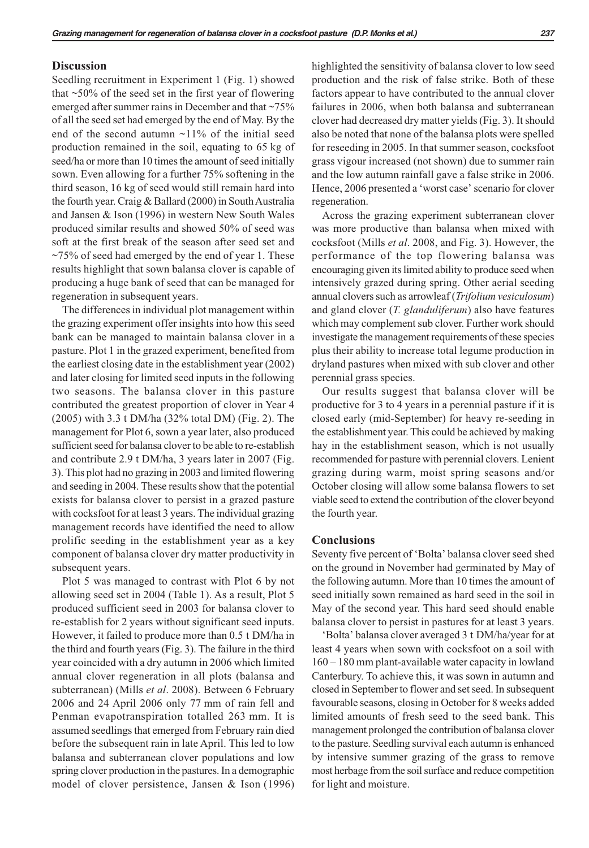## **Discussion**

Seedling recruitment in Experiment 1 (Fig. 1) showed that  $\sim$  50% of the seed set in the first year of flowering emerged after summer rains in December and that ~75% of all the seed set had emerged by the end of May. By the end of the second autumn ~11% of the initial seed production remained in the soil, equating to 65 kg of seed/ha or more than 10 times the amount of seed initially sown. Even allowing for a further 75% softening in the third season, 16 kg of seed would still remain hard into the fourth year. Craig & Ballard (2000) in South Australia and Jansen & Ison (1996) in western New South Wales produced similar results and showed 50% of seed was soft at the first break of the season after seed set and  $\sim$ 75% of seed had emerged by the end of year 1. These results highlight that sown balansa clover is capable of producing a huge bank of seed that can be managed for regeneration in subsequent years.

The differences in individual plot management within the grazing experiment offer insights into how this seed bank can be managed to maintain balansa clover in a pasture. Plot 1 in the grazed experiment, benefited from the earliest closing date in the establishment year (2002) and later closing for limited seed inputs in the following two seasons. The balansa clover in this pasture contributed the greatest proportion of clover in Year 4 (2005) with 3.3 t DM/ha (32% total DM) (Fig. 2). The management for Plot 6, sown a year later, also produced sufficient seed for balansa clover to be able to re-establish and contribute 2.9 t DM/ha, 3 years later in 2007 (Fig. 3). This plot had no grazing in 2003 and limited flowering and seeding in 2004. These results show that the potential exists for balansa clover to persist in a grazed pasture with cocksfoot for at least 3 years. The individual grazing management records have identified the need to allow prolific seeding in the establishment year as a key component of balansa clover dry matter productivity in subsequent years.

Plot 5 was managed to contrast with Plot 6 by not allowing seed set in 2004 (Table 1). As a result, Plot 5 produced sufficient seed in 2003 for balansa clover to re-establish for 2 years without significant seed inputs. However, it failed to produce more than 0.5 t DM/ha in the third and fourth years (Fig. 3). The failure in the third year coincided with a dry autumn in 2006 which limited annual clover regeneration in all plots (balansa and subterranean) (Mills *et al*. 2008). Between 6 February 2006 and 24 April 2006 only 77 mm of rain fell and Penman evapotranspiration totalled 263 mm. It is assumed seedlings that emerged from February rain died before the subsequent rain in late April. This led to low balansa and subterranean clover populations and low spring clover production in the pastures. In a demographic model of clover persistence, Jansen & Ison (1996)

highlighted the sensitivity of balansa clover to low seed production and the risk of false strike. Both of these factors appear to have contributed to the annual clover failures in 2006, when both balansa and subterranean clover had decreased dry matter yields (Fig. 3). It should also be noted that none of the balansa plots were spelled for reseeding in 2005. In that summer season, cocksfoot grass vigour increased (not shown) due to summer rain and the low autumn rainfall gave a false strike in 2006. Hence, 2006 presented a 'worst case' scenario for clover regeneration.

Across the grazing experiment subterranean clover was more productive than balansa when mixed with cocksfoot (Mills *et al*. 2008, and Fig. 3). However, the performance of the top flowering balansa was encouraging given its limited ability to produce seed when intensively grazed during spring. Other aerial seeding annual clovers such as arrowleaf (*Trifolium vesiculosum*) and gland clover (*T. glanduliferum*) also have features which may complement sub clover. Further work should investigate the management requirements of these species plus their ability to increase total legume production in dryland pastures when mixed with sub clover and other perennial grass species.

Our results suggest that balansa clover will be productive for 3 to 4 years in a perennial pasture if it is closed early (mid-September) for heavy re-seeding in the establishment year. This could be achieved by making hay in the establishment season, which is not usually recommended for pasture with perennial clovers. Lenient grazing during warm, moist spring seasons and/or October closing will allow some balansa flowers to set viable seed to extend the contribution of the clover beyond the fourth year.

#### **Conclusions**

Seventy five percent of 'Bolta' balansa clover seed shed on the ground in November had germinated by May of the following autumn. More than 10 times the amount of seed initially sown remained as hard seed in the soil in May of the second year. This hard seed should enable balansa clover to persist in pastures for at least 3 years.

'Bolta' balansa clover averaged 3 t DM/ha/year for at least 4 years when sown with cocksfoot on a soil with 160 – 180 mm plant-available water capacity in lowland Canterbury. To achieve this, it was sown in autumn and closed in September to flower and set seed. In subsequent favourable seasons, closing in October for 8 weeks added limited amounts of fresh seed to the seed bank. This management prolonged the contribution of balansa clover to the pasture. Seedling survival each autumn is enhanced by intensive summer grazing of the grass to remove most herbage from the soil surface and reduce competition for light and moisture.